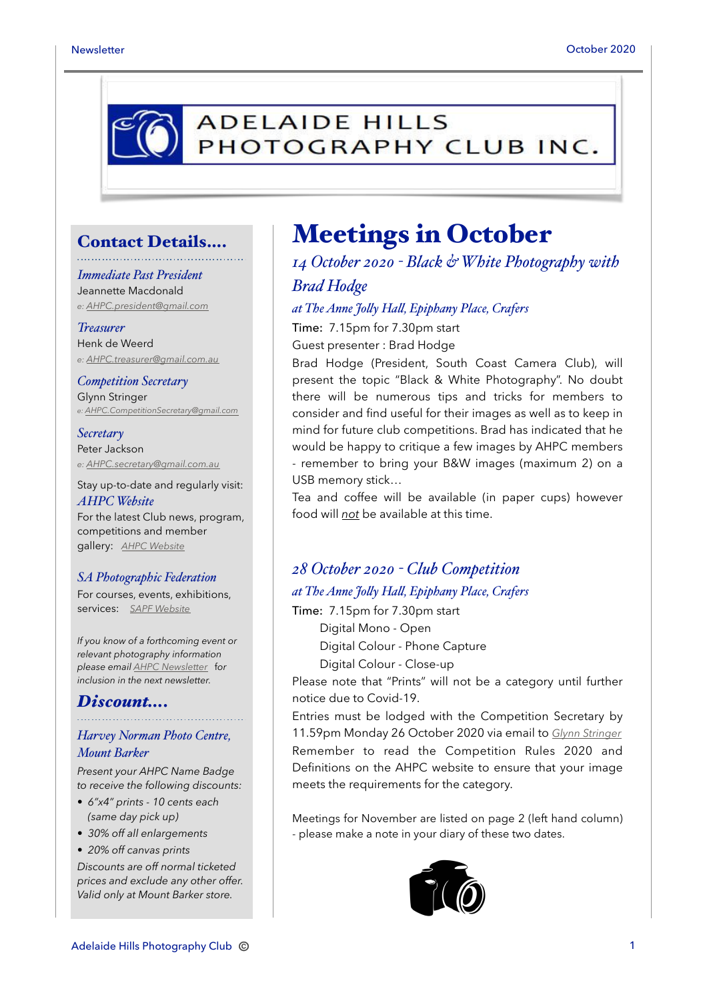

## Contact Details….

#### *Immediate Past President*

Jeannette Macdonald *e: [AHPC.president@gmail.com](mailto:AHPC.president@gmail.com)*

#### *Treasurer*

Henk de Weerd *e: [AHPC.treasurer@gmail.com.au](mailto:AHPC.treasurer@gmail.com.au)*

#### *Competition Secretary* Glynn Stringer *e: [AHPC.CompetitionSecretary@gmail.com](mailto:AHPC.CompetitionSecretary@gmail.com)*

*Secretary* Peter Jackson *e: [AHPC.secretary@gmail.com.au](mailto:AHPC.treasurer@gmail.com.au)*

Stay up-to-date and regularly visit: *AHPC Website* For the latest Club news, program, competitions and member

# gallery: *[AHPC Website](http://www.adelaidehillsphotographyclub.com.au)*

#### *SA Photographic Federation*

For courses, events, exhibitions, services: *[SAPF Website](https://www.sapf.org.au)*

*If you know of a forthcoming event or relevant photography information please email [AHPC Newsletter](mailto:paulaphotoclick@gmail.com)* f*or inclusion in the next newsletter.* 

#### *Discount….*

#### *Harvey Norman Photo Centre, Mount Barker*

*Present your AHPC Name Badge to receive the following discounts:* 

- *6"x4" prints 10 cents each (same day pick up)*
- *30% off all enlargements*

#### • *20% off canvas prints*

*Discounts are off normal ticketed prices and exclude any other offer. Valid only at Mount Barker store.*

# Meetings in October

*14 October 2020 - Black & White Photography with Brad Hodge*

*at The Anne Jo"y Ha", Epiphany Place, Crafers*

Time: 7.15pm for 7.30pm start Guest presenter : Brad Hodge

Brad Hodge (President, South Coast Camera Club), will present the topic "Black & White Photography". No doubt there will be numerous tips and tricks for members to consider and find useful for their images as well as to keep in mind for future club competitions. Brad has indicated that he would be happy to critique a few images by AHPC members - remember to bring your B&W images (maximum 2) on a

USB memory stick…

Tea and coffee will be available (in paper cups) however food will *not* be available at this time.

# *28 October 2020 - Club Competition*

## *at The Anne Jo"y Ha", Epiphany Place, Crafers*

Time: 7.15pm for 7.30pm start

Digital Mono - Open

Digital Colour - Phone Capture

Digital Colour - Close-up

Please note that "Prints" will not be a category until further notice due to Covid-19.

Entries must be lodged with the Competition Secretary by 11.59pm Monday 26 October 2020 via email to *[Glynn Stringer](mailto:ahpc.competitionsecretary@gmail.com?subject=AHPC%20October%20Competition)* Remember to read the Competition Rules 2020 and Definitions on the AHPC website to ensure that your image meets the requirements for the category.

Meetings for November are listed on page 2 (left hand column) - please make a note in your diary of these two dates.

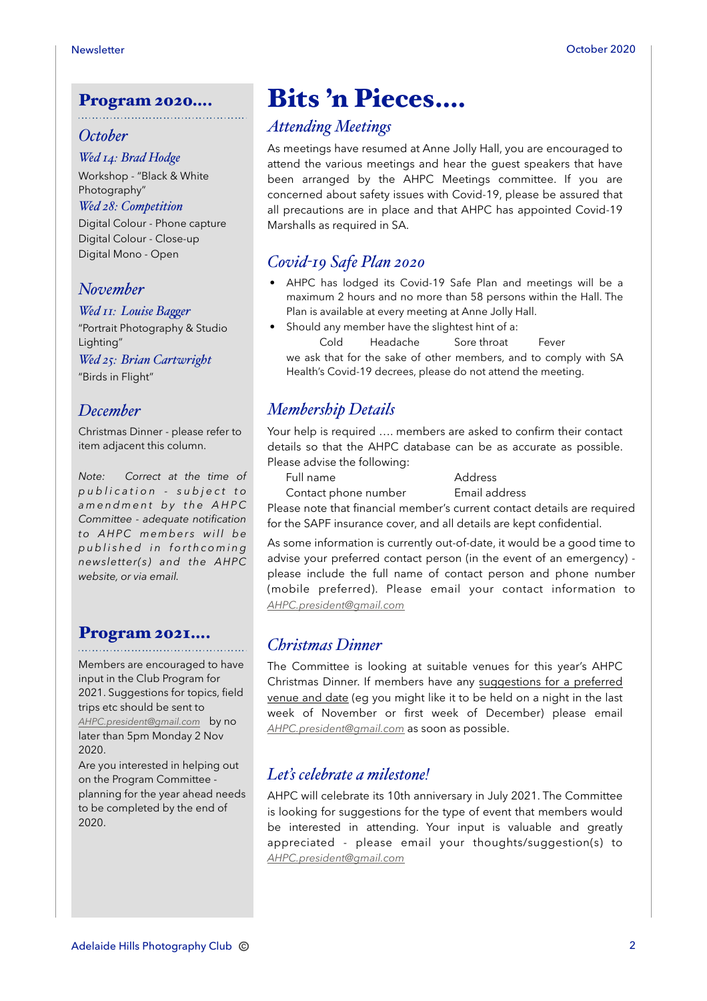#### Program 2020….

#### *October*

#### *Wed 14: Brad Hodge*

Workshop - "Black & White Photography"

#### *Wed 28: Competition*

Digital Colour - Phone capture Digital Colour - Close-up Digital Mono - Open

#### *November*

#### *Wed 11: Louise Bagger*

"Portrait Photography & Studio Lighting"

*Wed 25: Brian Cartwright*

"Birds in Flight"

#### *December*

Christmas Dinner - please refer to item adjacent this column.

*Note: Correct at the time of p u b l i c a t i o n - s u b j e c t t o a m e n d m e n t b y t h e A H P C Committee - adequate notification*   $to$  AHPC members will be *p u b l i s h e d i n f o r t h c o m i n g newsletter(s) and the AHPC website, or via email.* 

#### Program 2021….

Members are encouraged to have input in the Club Program for 2021. Suggestions for topics, field trips etc should be sent to *[AHPC.president@gmail.com](mailto:AHPC.president@gmail.com)* by no later than 5pm Monday 2 Nov 2020.

Are you interested in helping out on the Program Committee planning for the year ahead needs to be completed by the end of 2020.

# Bits 'n Pieces….

### *Attending Meetings*

As meetings have resumed at Anne Jolly Hall, you are encouraged to attend the various meetings and hear the guest speakers that have been arranged by the AHPC Meetings committee. If you are concerned about safety issues with Covid-19, please be assured that all precautions are in place and that AHPC has appointed Covid-19 Marshalls as required in SA.

## *Covid-19 Safe Plan 2020*

- AHPC has lodged its Covid-19 Safe Plan and meetings will be a maximum 2 hours and no more than 58 persons within the Hall. The Plan is available at every meeting at Anne Jolly Hall.
- Should any member have the slightest hint of a: Cold Headache Sore throat Fever we ask that for the sake of other members, and to comply with SA

Health's Covid-19 decrees, please do not attend the meeting.

# *Membership Details*

Your help is required …. members are asked to confirm their contact details so that the AHPC database can be as accurate as possible. Please advise the following:

Full name Address

Contact phone number Email address

Please note that financial member's current contact details are required for the SAPF insurance cover, and all details are kept confidential.

As some information is currently out-of-date, it would be a good time to advise your preferred contact person (in the event of an emergency) please include the full name of contact person and phone number (mobile preferred). Please email your contact information to *[AHPC.president@gmail.com](mailto:AHPC.president@gmail.com)*

#### *Christmas Dinner*

The Committee is looking at suitable venues for this year's AHPC Christmas Dinner. If members have any suggestions for a preferred venue and date (eg you might like it to be held on a night in the last week of November or first week of December) please email *[AHPC.president@gmail.com](mailto:AHPC.president@gmail.com)* as soon as possible.

#### *Let's celebrate a milestone!*

AHPC will celebrate its 10th anniversary in July 2021. The Committee is looking for suggestions for the type of event that members would be interested in attending. Your input is valuable and greatly appreciated - please email your thoughts/suggestion(s) to *[AHPC.president@gmail.com](mailto:AHPC.president@gmail.com)*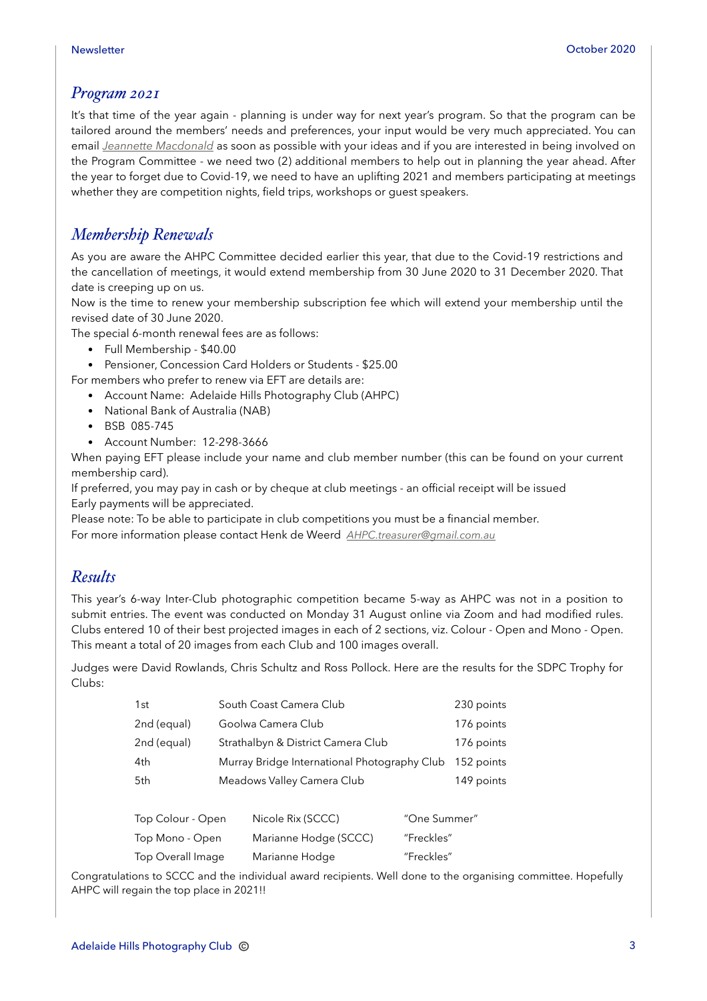#### *Program 2021*

It's that time of the year again - planning is under way for next year's program. So that the program can be tailored around the members' needs and preferences, your input would be very much appreciated. You can email *[Jeannette Macdonald](mailto:AHPC.president@gmail.com?subject=Program%202021)* as soon as possible with your ideas and if you are interested in being involved on the Program Committee - we need two (2) additional members to help out in planning the year ahead. After the year to forget due to Covid-19, we need to have an uplifting 2021 and members participating at meetings whether they are competition nights, field trips, workshops or guest speakers.

## *Membership Renewals*

As you are aware the AHPC Committee decided earlier this year, that due to the Covid-19 restrictions and the cancellation of meetings, it would extend membership from 30 June 2020 to 31 December 2020. That date is creeping up on us.

Now is the time to renew your membership subscription fee which will extend your membership until the revised date of 30 June 2020.

The special 6-month renewal fees are as follows:

- Full Membership \$40.00
- Pensioner, Concession Card Holders or Students \$25.00

For members who prefer to renew via EFT are details are:

- Account Name: Adelaide Hills Photography Club (AHPC)
- National Bank of Australia (NAB)
- BSB 085-745
- Account Number: 12-298-3666

When paying EFT please include your name and club member number (this can be found on your current membership card).

If preferred, you may pay in cash or by cheque at club meetings - an official receipt will be issued Early payments will be appreciated.

Please note: To be able to participate in club competitions you must be a financial member. For more information please contact Henk de Weerd *[AHPC.treasurer@gmail.com.au](mailto:AHPC.treasurer@gmail.com.au)*

#### *Results*

This year's 6-way Inter-Club photographic competition became 5-way as AHPC was not in a position to submit entries. The event was conducted on Monday 31 August online via Zoom and had modified rules. Clubs entered 10 of their best projected images in each of 2 sections, viz. Colour - Open and Mono - Open. This meant a total of 20 images from each Club and 100 images overall.

Judges were David Rowlands, Chris Schultz and Ross Pollock. Here are the results for the SDPC Trophy for Clubs:

| 1st         | South Coast Camera Club                      | 230 points |
|-------------|----------------------------------------------|------------|
| 2nd (equal) | Goolwa Camera Club                           | 176 points |
| 2nd (equal) | Strathalbyn & District Camera Club           | 176 points |
| 4th         | Murray Bridge International Photography Club | 152 points |
| 5th         | Meadows Valley Camera Club                   | 149 points |
|             |                                              |            |

| Top Colour - Open | Nicole Rix (SCCC)     | "One Summer" |
|-------------------|-----------------------|--------------|
| Top Mono - Open   | Marianne Hodge (SCCC) | "Freckles"   |
| Top Overall Image | Marianne Hodge        | "Freckles"   |

Congratulations to SCCC and the individual award recipients. Well done to the organising committee. Hopefully AHPC will regain the top place in 2021!!